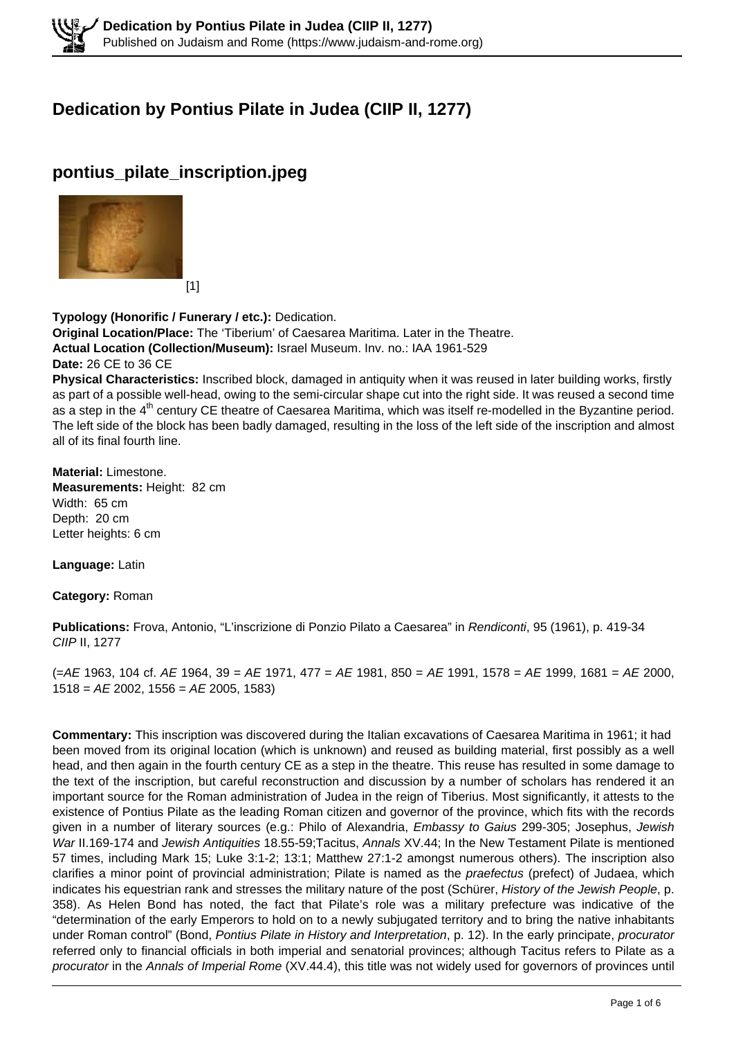# **Dedication by Pontius Pilate in Judea (CIIP II, 1277)**

## **pontius\_pilate\_inscription.jpeg**



**Typology (Honorific / Funerary / etc.):** Dedication. **Original Location/Place:** The 'Tiberium' of Caesarea Maritima. Later in the Theatre. **Actual Location (Collection/Museum):** Israel Museum. Inv. no.: IAA 1961-529 **Date:** 26 CE to 36 CE **Physical Characteristics:** Inscribed block, damaged in antiquity when it was reused in later building works, firstly as part of a possible well-head, owing to the semi-circular shape cut into the right side. It was reused a second time as a step in the  $4<sup>th</sup>$  century CE theatre of Caesarea Maritima, which was itself re-modelled in the Byzantine period.

The left side of the block has been badly damaged, resulting in the loss of the left side of the inscription and almost all of its final fourth line.

**Material:** Limestone. **Measurements:** Height: 82 cm Width: 65 cm Depth: 20 cm Letter heights: 6 cm

**Language:** Latin

**Category:** Roman

**Publications:** Frova, Antonio, "L'inscrizione di Ponzio Pilato a Caesarea" in Rendiconti, 95 (1961), p. 419-34 CIIP II, 1277

 $(=AE 1963, 104 \text{ cf. } AE 1964, 39 = AE 1971, 477 = AE 1981, 850 = AE 1991, 1578 = AE 1999, 1681 = AE 2000,$  $1518 = AE$  2002, 1556 = AE 2005, 1583)

**Commentary:** This inscription was discovered during the Italian excavations of Caesarea Maritima in 1961; it had been moved from its original location (which is unknown) and reused as building material, first possibly as a well head, and then again in the fourth century CE as a step in the theatre. This reuse has resulted in some damage to the text of the inscription, but careful reconstruction and discussion by a number of scholars has rendered it an important source for the Roman administration of Judea in the reign of Tiberius. Most significantly, it attests to the existence of Pontius Pilate as the leading Roman citizen and governor of the province, which fits with the records given in a number of literary sources (e.g.: Philo of Alexandria, Embassy to Gaius 299-305; Josephus, Jewish War II.169-174 and Jewish Antiquities 18.55-59;Tacitus, Annals XV.44; In the New Testament Pilate is mentioned 57 times, including Mark 15; Luke 3:1-2; 13:1; Matthew 27:1-2 amongst numerous others). The inscription also clarifies a minor point of provincial administration; Pilate is named as the praefectus (prefect) of Judaea, which indicates his equestrian rank and stresses the military nature of the post (Schürer, History of the Jewish People, p. 358). As Helen Bond has noted, the fact that Pilate's role was a military prefecture was indicative of the "determination of the early Emperors to hold on to a newly subjugated territory and to bring the native inhabitants under Roman control" (Bond, Pontius Pilate in History and Interpretation, p. 12). In the early principate, procurator referred only to financial officials in both imperial and senatorial provinces; although Tacitus refers to Pilate as a procurator in the Annals of Imperial Rome (XV.44.4), this title was not widely used for governors of provinces until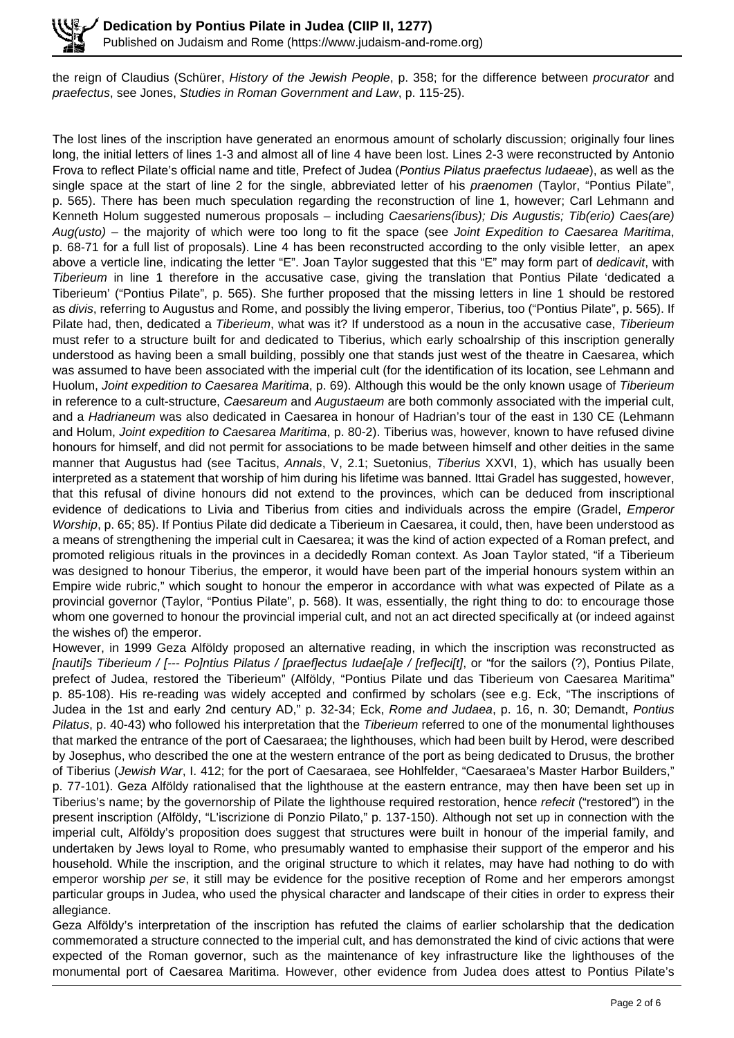the reign of Claudius (Schürer, History of the Jewish People, p. 358; for the difference between procurator and praefectus, see Jones, Studies in Roman Government and Law, p. 115-25).

The lost lines of the inscription have generated an enormous amount of scholarly discussion; originally four lines long, the initial letters of lines 1-3 and almost all of line 4 have been lost. Lines 2-3 were reconstructed by Antonio Frova to reflect Pilate's official name and title, Prefect of Judea (Pontius Pilatus praefectus Iudaeae), as well as the single space at the start of line 2 for the single, abbreviated letter of his *praenomen* (Taylor, "Pontius Pilate", p. 565). There has been much speculation regarding the reconstruction of line 1, however; Carl Lehmann and Kenneth Holum suggested numerous proposals – including Caesariens(ibus); Dis Augustis; Tib(erio) Caes(are) Aug(usto) – the majority of which were too long to fit the space (see Joint Expedition to Caesarea Maritima, p. 68-71 for a full list of proposals). Line 4 has been reconstructed according to the only visible letter, an apex above a verticle line, indicating the letter "E". Joan Taylor suggested that this "E" may form part of *dedicavit*, with Tiberieum in line 1 therefore in the accusative case, giving the translation that Pontius Pilate 'dedicated a Tiberieum' ("Pontius Pilate", p. 565). She further proposed that the missing letters in line 1 should be restored as divis, referring to Augustus and Rome, and possibly the living emperor, Tiberius, too ("Pontius Pilate", p. 565). If Pilate had, then, dedicated a Tiberieum, what was it? If understood as a noun in the accusative case, Tiberieum must refer to a structure built for and dedicated to Tiberius, which early schoalrship of this inscription generally understood as having been a small building, possibly one that stands just west of the theatre in Caesarea, which was assumed to have been associated with the imperial cult (for the identification of its location, see Lehmann and Huolum, Joint expedition to Caesarea Maritima, p. 69). Although this would be the only known usage of Tiberieum in reference to a cult-structure, *Caesareum* and *Augustaeum* are both commonly associated with the imperial cult, and a Hadrianeum was also dedicated in Caesarea in honour of Hadrian's tour of the east in 130 CE (Lehmann and Holum, Joint expedition to Caesarea Maritima, p. 80-2). Tiberius was, however, known to have refused divine honours for himself, and did not permit for associations to be made between himself and other deities in the same manner that Augustus had (see Tacitus, Annals, V, 2.1; Suetonius, Tiberius XXVI, 1), which has usually been interpreted as a statement that worship of him during his lifetime was banned. Ittai Gradel has suggested, however, that this refusal of divine honours did not extend to the provinces, which can be deduced from inscriptional evidence of dedications to Livia and Tiberius from cities and individuals across the empire (Gradel, *Emperor* Worship, p. 65; 85). If Pontius Pilate did dedicate a Tiberieum in Caesarea, it could, then, have been understood as a means of strengthening the imperial cult in Caesarea; it was the kind of action expected of a Roman prefect, and promoted religious rituals in the provinces in a decidedly Roman context. As Joan Taylor stated, "if a Tiberieum was designed to honour Tiberius, the emperor, it would have been part of the imperial honours system within an Empire wide rubric," which sought to honour the emperor in accordance with what was expected of Pilate as a provincial governor (Taylor, "Pontius Pilate", p. 568). It was, essentially, the right thing to do: to encourage those whom one governed to honour the provincial imperial cult, and not an act directed specifically at (or indeed against the wishes of) the emperor.

However, in 1999 Geza Alföldy proposed an alternative reading, in which the inscription was reconstructed as [nauti]s Tiberieum / [--- Po]ntius Pilatus / [praef]ectus Iudae[a]e / [ref]eci[t], or "for the sailors (?), Pontius Pilate, prefect of Judea, restored the Tiberieum" (Alföldy, "Pontius Pilate und das Tiberieum von Caesarea Maritima" p. 85-108). His re-reading was widely accepted and confirmed by scholars (see e.g. Eck, "The inscriptions of Judea in the 1st and early 2nd century AD," p. 32-34; Eck, Rome and Judaea, p. 16, n. 30; Demandt, Pontius Pilatus, p. 40-43) who followed his interpretation that the Tiberieum referred to one of the monumental lighthouses that marked the entrance of the port of Caesaraea; the lighthouses, which had been built by Herod, were described by Josephus, who described the one at the western entrance of the port as being dedicated to Drusus, the brother of Tiberius (Jewish War, I. 412; for the port of Caesaraea, see Hohlfelder, "Caesaraea's Master Harbor Builders," p. 77-101). Geza Alföldy rationalised that the lighthouse at the eastern entrance, may then have been set up in Tiberius's name; by the governorship of Pilate the lighthouse required restoration, hence refecit ("restored") in the present inscription (Alföldy, "L'iscrizione di Ponzio Pilato," p. 137-150). Although not set up in connection with the imperial cult, Alföldy's proposition does suggest that structures were built in honour of the imperial family, and undertaken by Jews loyal to Rome, who presumably wanted to emphasise their support of the emperor and his household. While the inscription, and the original structure to which it relates, may have had nothing to do with emperor worship per se, it still may be evidence for the positive reception of Rome and her emperors amongst particular groups in Judea, who used the physical character and landscape of their cities in order to express their allegiance.

Geza Alföldy's interpretation of the inscription has refuted the claims of earlier scholarship that the dedication commemorated a structure connected to the imperial cult, and has demonstrated the kind of civic actions that were expected of the Roman governor, such as the maintenance of key infrastructure like the lighthouses of the monumental port of Caesarea Maritima. However, other evidence from Judea does attest to Pontius Pilate's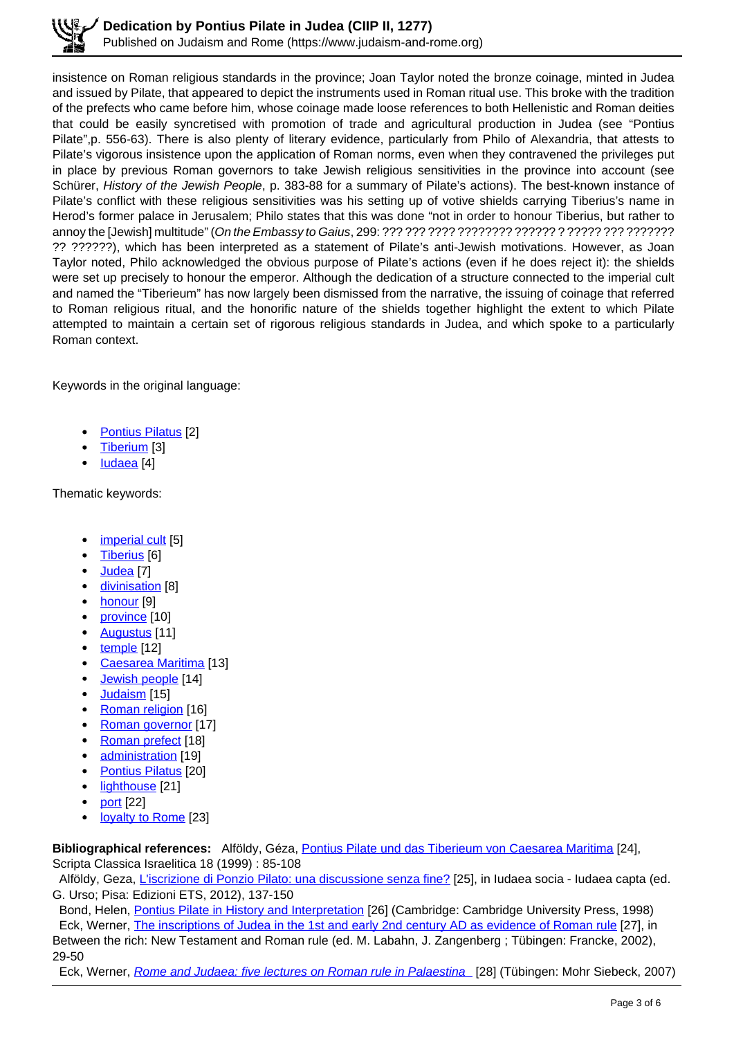insistence on Roman religious standards in the province; Joan Taylor noted the bronze coinage, minted in Judea and issued by Pilate, that appeared to depict the instruments used in Roman ritual use. This broke with the tradition of the prefects who came before him, whose coinage made loose references to both Hellenistic and Roman deities that could be easily syncretised with promotion of trade and agricultural production in Judea (see "Pontius Pilate",p. 556-63). There is also plenty of literary evidence, particularly from Philo of Alexandria, that attests to Pilate's vigorous insistence upon the application of Roman norms, even when they contravened the privileges put in place by previous Roman governors to take Jewish religious sensitivities in the province into account (see Schürer, History of the Jewish People, p. 383-88 for a summary of Pilate's actions). The best-known instance of Pilate's conflict with these religious sensitivities was his setting up of votive shields carrying Tiberius's name in Herod's former palace in Jerusalem; Philo states that this was done "not in order to honour Tiberius, but rather to annoy the [Jewish] multitude" (On the Embassy to Gaius, 299: ??? ??? ???? ???????? ?????? ? ????? ??? ??????? ?? ??????), which has been interpreted as a statement of Pilate's anti-Jewish motivations. However, as Joan Taylor noted, Philo acknowledged the obvious purpose of Pilate's actions (even if he does reject it): the shields were set up precisely to honour the emperor. Although the dedication of a structure connected to the imperial cult and named the "Tiberieum" has now largely been dismissed from the narrative, the issuing of coinage that referred to Roman religious ritual, and the honorific nature of the shields together highlight the extent to which Pilate attempted to maintain a certain set of rigorous religious standards in Judea, and which spoke to a particularly Roman context.

Keywords in the original language:

- Pontius Pilatus [2]
- Tiberium [3]
- Iudaea [4]

Thematic keywords:

- imperial cult [5]
- Tiberius [6]
- Judea [7]
- divinisation [8]
- honour [9]
- province [10]
- Augustus [11]
- temple [12]
- Caesarea Maritima [13]
- Jewish people [14]
- Judaism [15]
- Roman religion [16]
- Roman governor [17]
- Roman prefect [18]
- administration [19]  $\bullet$
- $\bullet$ Pontius Pilatus [20]
- lighthouse [21]  $\bullet$
- port [22]
- loyalty to Rome [23]  $\bullet$

**Bibliographical references:** Alföldy, Géza, Pontius Pilate und das Tiberieum von Caesarea Maritima [24], Scripta Classica Israelitica 18 (1999) : 85-108

Alföldy, Geza, L'iscrizione di Ponzio Pilato: una discussione senza fine? [25], in Iudaea socia - Iudaea capta (ed. G. Urso; Pisa: Edizioni ETS, 2012), 137-150

Bond, Helen, Pontius Pilate in History and Interpretation [26] (Cambridge: Cambridge University Press, 1998) Eck, Werner, The inscriptions of Judea in the 1st and early 2nd century AD as evidence of Roman rule [27], in Between the rich: New Testament and Roman rule (ed. M. Labahn, J. Zangenberg ; Tübingen: Francke, 2002),

29-50

Eck, Werner, Rome and Judaea: five lectures on Roman rule in Palaestina [28] (Tübingen: Mohr Siebeck, 2007)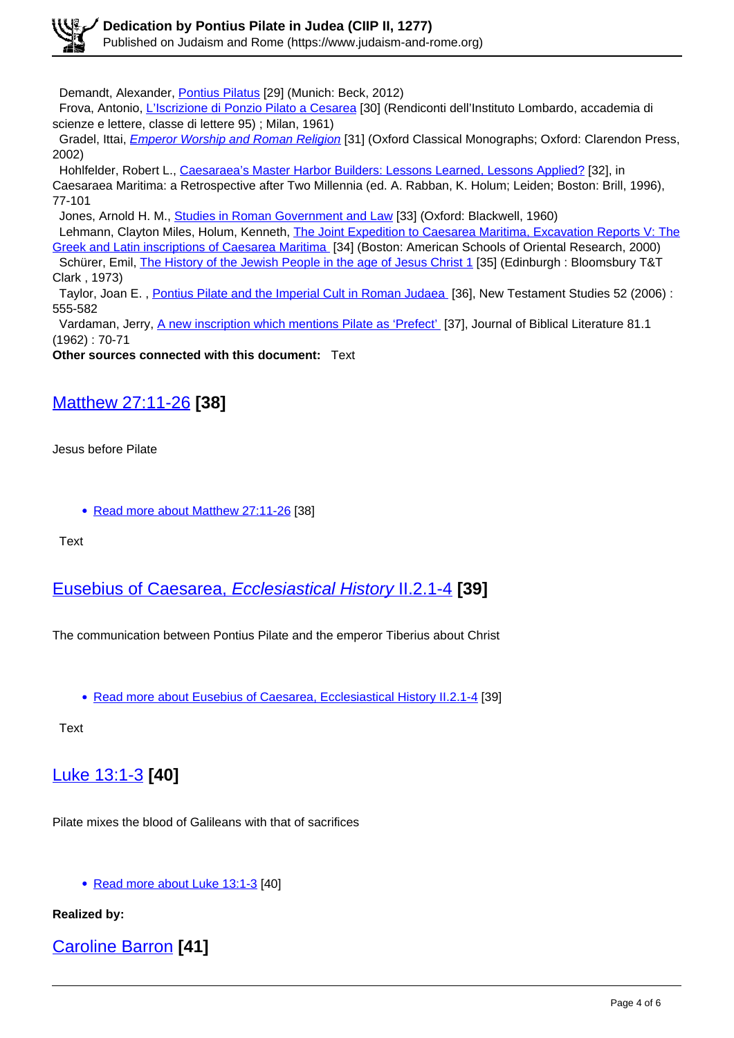Demandt, Alexander, Pontius Pilatus [29] (Munich: Beck, 2012)

Frova, Antonio, L'Iscrizione di Ponzio Pilato a Cesarea [30] (Rendiconti dell'Instituto Lombardo, accademia di scienze e lettere, classe di lettere 95) ; Milan, 1961)

Gradel, Ittai, *Emperor Worship and Roman Religion* [31] (Oxford Classical Monographs; Oxford: Clarendon Press, 2002)

 Hohlfelder, Robert L., Caesaraea's Master Harbor Builders: Lessons Learned, Lessons Applied? [32], in Caesaraea Maritima: a Retrospective after Two Millennia (ed. A. Rabban, K. Holum; Leiden; Boston: Brill, 1996), 77-101

Jones, Arnold H. M., Studies in Roman Government and Law [33] (Oxford: Blackwell, 1960)

 Lehmann, Clayton Miles, Holum, Kenneth, The Joint Expedition to Caesarea Maritima, Excavation Reports V: The Greek and Latin inscriptions of Caesarea Maritima [34] (Boston: American Schools of Oriental Research, 2000) Schürer, Emil, *The History of the Jewish People in the age of Jesus Christ 1* [35] (Edinburgh : Bloomsbury T&T Clark , 1973)

 Taylor, Joan E. , Pontius Pilate and the Imperial Cult in Roman Judaea [36], New Testament Studies 52 (2006) : 555-582

Vardaman, Jerry, A new inscription which mentions Pilate as 'Prefect' [37], Journal of Biblical Literature 81.1 (1962) : 70-71

**Other sources connected with this document:** Text

### Matthew 27:11-26 **[38]**

Jesus before Pilate

• Read more about Matthew 27:11-26 [38]

Text

### Eusebius of Caesarea, Ecclesiastical History II.2.1-4 **[39]**

The communication between Pontius Pilate and the emperor Tiberius about Christ

• Read more about Eusebius of Caesarea, Ecclesiastical History II.2.1-4 [39]

Text

Luke 13:1-3 **[40]**

Pilate mixes the blood of Galileans with that of sacrifices

• Read more about Luke 13:1-3 [40]

**Realized by:**